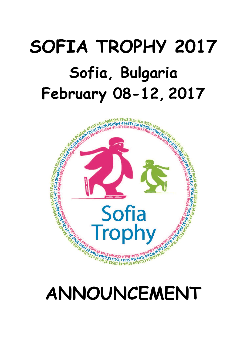# **SOFIA TROPHY 2017 Sofia, Bulgaria February 08-12, 2017**



## **ANNOUNCEMENT**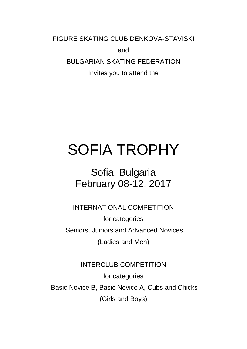FIGURE SKATING CLUB DENKOVA-STAVISKI

and

BULGARIAN SKATING FEDERATION

Invites you to attend the

### SOFIA TROPHY

### Sofia, Bulgaria February 08-12, 2017

INTERNATIONAL COMPETITION

for categories Seniors, Juniors and Advanced Novices (Ladies and Men)

#### INTERCLUB COMPETITION

for categories Basic Novice B, Basic Novice A, Cubs and Chicks (Girls and Boys)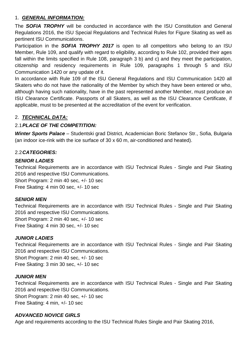#### 1. *GENERAL INFORMATION:*

The *SOFIA TROPHY* will be conducted in accordance with the ISU Constitution and General Regulations 2016, the ISU Special Regulations and Technical Rules for Figure Skating as well as pertinent ISU Communications.

Participation in the *SOFIA TROPHY 2017* is open to all competitors who belong to an ISU Member, Rule 109, and qualify with regard to eligibility, according to Rule 102, provided their ages fall within the limits specified in Rule 108, paragraph 3 b) and c) and they meet the participation, citizenship and residency requirements in Rule 109, paragraphs 1 through 5 and ISU Communication 1420 or any update of it.

In accordance with Rule 109 of the ISU General Regulations and ISU Communication 1420 all Skaters who do not have the nationality of the Member by which they have been entered or who, although having such nationality, have in the past represented another Member, must produce an ISU Clearance Certificate. Passports of all Skaters, as well as the ISU Clearance Certificate, if applicable, must to be presented at the accreditation of the event for verification.

#### 2. *TECHNICAL DATA:*

#### 2.1*PLACE OF THE COMPETITION:*

*Winter Sports Palace* – Studentski grad District, Academician Boric Stefanov Str., Sofia, Bulgaria (an indoor ice-rink with the ice surface of 30 x 60 m, air-conditioned and heated).

#### 2.2*CATEGORIES:*

#### *SENIOR LADIES*

Technical Requirements are in accordance with ISU Technical Rules - Single and Pair Skating 2016 and respective ISU Communications.

Short Program: 2 min 40 sec, +/- 10 sec

Free Skating: 4 min 00 sec, +/- 10 sec

#### *SENIOR MEN*

Technical Requirements are in accordance with ISU Technical Rules - Single and Pair Skating 2016 and respective ISU Communications.

Short Program: 2 min 40 sec, +/- 10 sec Free Skating: 4 min 30 sec, +/- 10 sec

#### *JUNIOR LADIES*

Technical Requirements are in accordance with ISU Technical Rules - Single and Pair Skating 2016 and respective ISU Communications.

Short Program: 2 min 40 sec, +/- 10 sec Free Skating: 3 min 30 sec, +/- 10 sec

#### *JUNIOR MEN*

Technical Requirements are in accordance with ISU Technical Rules - Single and Pair Skating 2016 and respective ISU Communications. Short Program: 2 min 40 sec, +/- 10 sec

Free Skating: 4 min, +/- 10 sec

#### *ADVANCED NOVICE GIRLS*

Age and requirements according to the ISU Technical Rules Single and Pair Skating 2016,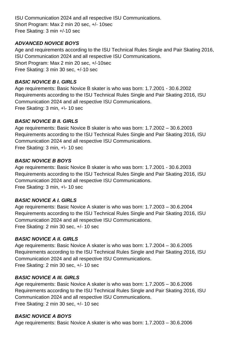ISU Communication 2024 and all respective ISU Communications. Short Program: Max 2 min 20 sec, +/- 10sec Free Skating: 3 min +/-10 sec

#### *ADVANCED NOVICE BOYS*

Age and requirements according to the ISU Technical Rules Single and Pair Skating 2016, ISU Communication 2024 and all respective ISU Communications. Short Program: Max 2 min 20 sec, +/-10sec Free Skating: 3 min 30 sec, +/-10 sec

#### *BASIC NOVICE B I. GIRLS*

Age requirements: Basic Novice B skater is who was born: 1.7.2001 - 30.6.2002 Requirements according to the ISU Technical Rules Single and Pair Skating 2016, ISU Communication 2024 and all respective ISU Communications. Free Skating: 3 min, +\- 10 sec

#### *BASIC NOVICE B II. GIRLS*

Age requirements: Basic Novice B skater is who was born: 1.7.2002 – 30.6.2003 Requirements according to the ISU Technical Rules Single and Pair Skating 2016, ISU Communication 2024 and all respective ISU Communications. Free Skating: 3 min, +\- 10 sec

#### *BASIC NOVICE B BOYS*

Age requirements: Basic Novice B skater is who was born: 1.7.2001 - 30.6.2003 Requirements according to the ISU Technical Rules Single and Pair Skating 2016, ISU Communication 2024 and all respective ISU Communications. Free Skating: 3 min, +\- 10 sec

#### *BASIC NOVICE A I. GIRLS*

Age requirements: Basic Novice A skater is who was born: 1.7.2003 – 30.6.2004 Requirements according to the ISU Technical Rules Single and Pair Skating 2016, ISU Communication 2024 and all respective ISU Communications. Free Skating: 2 min 30 sec, +/- 10 sec

#### *BASIC NOVICE A II. GIRLS*

Age requirements: Basic Novice A skater is who was born: 1.7.2004 – 30.6.2005 Requirements according to the ISU Technical Rules Single and Pair Skating 2016, ISU Communication 2024 and all respective ISU Communications. Free Skating: 2 min 30 sec, +/- 10 sec

#### *BASIC NOVICE A III. GIRLS*

Age requirements: Basic Novice A skater is who was born: 1.7.2005 – 30.6.2006 Requirements according to the ISU Technical Rules Single and Pair Skating 2016, ISU Communication 2024 and all respective ISU Communications. Free Skating: 2 min 30 sec, +/- 10 sec

#### *BASIC NOVICE A BOYS*

Age requirements: Basic Novice A skater is who was born: 1.7.2003 – 30.6.2006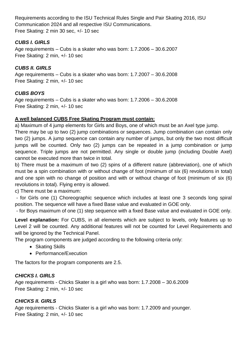Requirements according to the ISU Technical Rules Single and Pair Skating 2016, ISU Communication 2024 and all respective ISU Communications. Free Skating: 2 min 30 sec, +/- 10 sec

#### *CUBS I. GIRLS*

Age requirements – Cubs is a skater who was born: 1.7.2006 – 30.6.2007 Free Skating: 2 min, +/- 10 sec

#### *CUBS II. GIRLS*

Age requirements – Cubs is a skater who was born: 1.7.2007 – 30.6.2008 Free Skating: 2 min, +/- 10 sec

#### *CUBS BOYS*

Age requirements – Cubs is a skater who was born: 1.7.2006 – 30.6.2008 Free Skating: 2 min, +/- 10 sec

#### **A well balanced CUBS Free Skating Program must contain:**

a) Maximum of 4 jump elements for Girls and Boys, one of which must be an Axel type jump.

There may be up to two (2) jump combinations or sequences. Jump combination can contain only two (2) jumps. A jump sequence can contain any number of jumps, but only the two most difficult jumps will be counted. Only two (2) jumps can be repeated in a jump combination or jump sequence. Triple jumps are not permitted. Any single or double jump (including Double Axel) cannot be executed more than twice in total.

b) There must be a maximum of two (2) spins of a different nature (abbreviation), one of which must be a spin combination with or without change of foot (minimum of six (6) revolutions in total) and one spin with no change of position and with or without change of foot (minimum of six (6) revolutions in total). Flying entry is allowed.

c) There must be a maximum:

- for Girls one (1) Choreographic sequence which includes at least one 3 seconds long spiral position. The sequence will have a fixed Base value and evaluated in GOE only.

- for Boys maximum of one (1) step sequence with a fixed Base value and evaluated in GOE only.

**Level explanation:** For CUBS, in all elements which are subject to levels, only features up to Level 2 will be counted. Any additional features will not be counted for Level Requirements and will be ignored by the Technical Panel.

The program components are judged according to the following criteria only:

- Skating Skills
- Performance/Execution

The factors for the program components are 2.5.

#### *CHICKS I. GIRLS*

Age requirements - Chicks Skater is a girl who was born: 1.7.2008 – 30.6.2009 Free Skating: 2 min, +/- 10 sec

#### *CHICKS II. GIRLS*

Age requirements - Chicks Skater is a girl who was born: 1.7.2009 and younger. Free Skating: 2 min, +/- 10 sec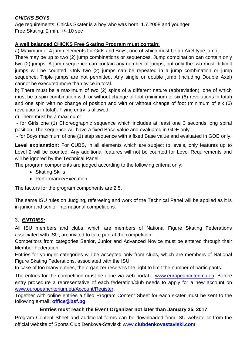#### *CHICKS BOYS*

Age requirements: Chicks Skater is a boy who was born: 1.7.2008 and younger Free Skating: 2 min, +/- 10 sec

#### **A well balanced CHICKS Free Skating Program must contain:**

a) Maximum of 4 jump elements for Girls and Boys, one of which must be an Axel type jump.

There may be up to two (2) jump combinations or sequences. Jump combination can contain only two (2) jumps. A jump sequence can contain any number of jumps, but only the two most difficult jumps will be counted. Only two (2) jumps can be repeated in a jump combination or jump sequence. Triple jumps are not permitted. Any single or double jump (including Double Axel) cannot be executed more than twice in total.

b) There must be a maximum of two (2) spins of a different nature (abbreviation), one of which must be a spin combination with or without change of foot (minimum of six (6) revolutions in total) and one spin with no change of position and with or without change of foot (minimum of six (6) revolutions in total). Flying entry is allowed.

c) There must be a maximum:

- for Girls one (1) Choreographic sequence which includes at least one 3 seconds long spiral position. The sequence will have a fixed Base value and evaluated in GOE only.

- for Boys maximum of one (1) step sequence with a fixed Base value and evaluated in GOE only.

**Level explanation:** For CUBS, in all elements which are subject to levels, only features up to Level 2 will be counted. Any additional features will not be counted for Level Requirements and will be ignored by the Technical Panel.

The program components are judged according to the following criteria only:

- Skating Skills
- Performance/Execution

The factors for the program components are 2.5.

The same ISU rules on Judging, refereeing and work of the Technical Panel will be applied as it is in junior and senior international competitions.

#### 3. *ENTRIES:*

All ISU members and clubs, which are members of National Figure Skating Federations associated with ISU, are invited to take part at the competition.

Competitors from categories Senior, Junior and Advanced Novice must be entered through their Member Federation.

Entries for younger categories will be accepted only from clubs, which are members of National Figure Skating Federations, associated with the ISU.

In case of too many entries, the organizer reserves the right to limit the number of participants.

The entries for the competition must be done via web portal – [www.europeancriterimu.eu.](http://www.europeancriterimu.eu/) Before entry procedure a representative of each federation/club needs to apply for a new account on [www.europeancriterium.eu/Account/Register.](http://www.europeancriterium.eu/Account/Register)

Together with online entries a filled Program Content Sheet for each skater must be sent to the following e-mail**: [office@bsf.bg](mailto:office@bsf.bg)**

#### **Entries must reach the Event Organizer not later than January 25, 2017**

Program Content Sheet and additional forms can be downloaded from ISU website or from the official website of Sports Club Denkova-Staviski: www.**[clubdenkovastaviski.com](http://www.clubdenkovastaviski.com/)**.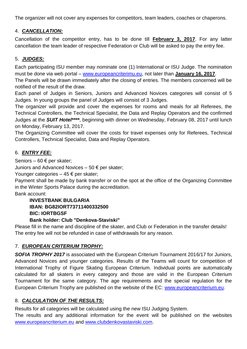The organizer will not cover any expenses for competitors, team leaders, coaches or chaperons.

#### 4. *CANCELLATION:*

Cancellation of the competitor entry, has to be done till **February 3, 2017**. For any latter cancellation the team leader of respective Federation or Club will be asked to pay the entry fee.

#### 5. *JUDGES:*

Each participating ISU member may nominate one (1) International or ISU Judge. The nomination must be done via web portal – [www.europeancriterimu.eu,](http://www.europeancriterimu.eu/) not later than **January 16, 2017**.

The Panels will be drawn immediately after the closing of entries. The members concerned will be notified of the result of the draw.

Each panel of Judges in Seniors, Juniors and Advanced Novices categories will consist of 5 Judges. In young groups the panel of Judges will consist of 3 Judges.

The organizer will provide and cover the expenses for rooms and meals for all Referees, the Technical Controllers, the Technical Specialist, the Data and Replay Operators and the confirmed Judges at the *SUIT Hotel\*\*\*\**, beginning with dinner on Wednesday, February 08, 2017 until lunch on Monday, February 13, 2017.

The Organizing Committee will cover the costs for travel expenses only for Referees, Technical Controllers, Technical Specialist, Data and Replay Operators.

#### 6. *ENTRY FEE:*

Seniors – 60 € per skater;

Juniors and Advanced Novices – 50 € per skater;

Younger categories  $-45 \in$  per skater;

Payment shall be made by bank transfer or on the spot at the office of the Organizing Committee in the Winter Sports Palace during the accreditation.

Bank account:

**INVESTBANK BULGARIA IBAN: BG82IORT73711400332500 BIC: IORTBGSF**

#### **Bank holder: Club "Denkova-Staviski"**

Please fill in the name and discipline of the skater, and Club or Federation in the transfer details! The entry fee will not be refunded in case of withdrawals for any reason.

#### 7. *EUROPEAN CRITERIUM TROPHY:*

*SOFIA TROPHY 2017* is associated with the European Criterium Tournament 2016/17 for Juniors, Advanced Novices and younger categories. Results of the Teams will count for competition of International Trophy of Figure Skating European Criterium. Individual points are automatically calculated for all skaters in every category and those are valid in the European Criterium Tournament for the same category. The age requirements and the special regulation for the European Criterium Trophy are published on the website of the EC: [www.europeancriterium.eu.](http://www.europeancriterium.eu/)

#### 8. *CALCULATION OF THE RESULTS:*

Results for all categories will be calculated using the new ISU Judging System.

The results and any additional information for the event will be published on the websites [www.europeancriterium.eu](http://www.europeancriterium.eu/) and [www.clubdenkovastaviski.com.](http://www.clubdenkovastaviski.com/)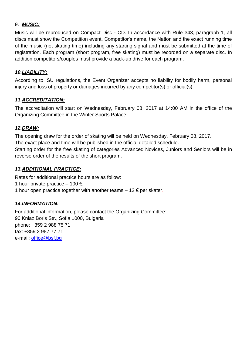#### 9. *MUSIC:*

Music will be reproduced on Compact Disc - CD. In accordance with Rule 343, paragraph 1, all discs must show the Competition event, Competitor's name, the Nation and the exact running time of the music (not skating time) including any starting signal and must be submitted at the time of registration. Each program (short program, free skating) must be recorded on a separate disc. In addition competitors/couples must provide a back-up drive for each program.

#### *10.LIABILITY:*

According to ISU regulations, the Event Organizer accepts no liability for bodily harm, personal injury and loss of property or damages incurred by any competitor(s) or official(s).

#### *11.ACCREDITATION:*

The accreditation will start on Wednesday, February 08, 2017 at 14:00 AM in the office of the Organizing Committee in the Winter Sports Palace.

#### *12.DRAW:*

The opening draw for the order of skating will be held on Wednesday, February 08, 2017. The exact place and time will be published in the official detailed schedule. Starting order for the free skating of categories Advanced Novices, Juniors and Seniors will be in reverse order of the results of the short program.

#### *13.ADDITIONAL PRACTICE:*

Rates for additional practice hours are as follow: 1 hour private practice – 100  $\epsilon$ . 1 hour open practice together with another teams  $-12 \epsilon$  per skater.

#### *14.INFORMATION:*

For additional information, please contact the Organizing Committee: 90 Kniaz Boris Str., Sofia 1000, Bulgaria phone: +359 2 988 75 71 fax: +359 2 987 77 71 e-mail: [office@bsf.bg](mailto:office@bsf.bg)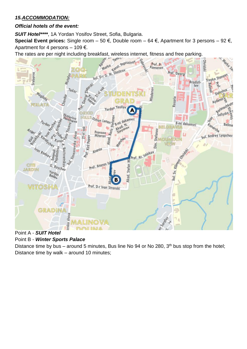#### *15.ACCOMMODATION:*

#### *Official hotels of the event:*

*SUIT Hotel\*\*\*\**, 1A Yordan Yosifov Street, Sofia, Bulgaria.

**Special Event prices:** Single room – 50 €, Double room – 64 €, Apartment for 3 persons – 92 €, Apartment for 4 persons  $-109 \epsilon$ .



#### Point A - *SUIT Hotel*

#### Point B - *Winter Sports Palace*

Distance time by bus – around 5 minutes, Bus line No 94 or No 280, 3<sup>th</sup> bus stop from the hotel; Distance time by walk – around 10 minutes;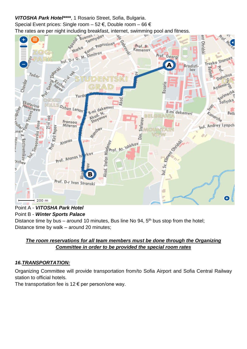#### *VITOSHA Park Hotel\*\*\*\**, 1 Rosario Street, Sofia, Bulgaria.

Special Event prices: Single room – 52 €, Double room – 66 €



#### Point A - *VITOSHA Park Hotel* Point B - *Winter Sports Palace*

Distance time by bus – around 10 minutes, Bus line No 94, 5<sup>th</sup> bus stop from the hotel; Distance time by walk – around 20 minutes;

#### *The room reservations for all team members must be done through the Organizing Committee in order to be provided the special room rates*

#### *16.TRANSPORTATION:*

Organizing Committee will provide transportation from/to Sofia Airport and Sofia Central Railway station to official hotels.

The transportation fee is  $12 \epsilon$  per person/one way.